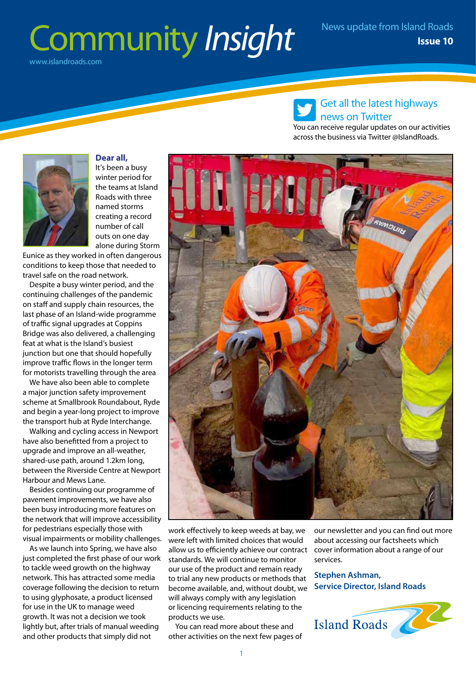### Community *Insight* www.islandroads.com



**Dear all,** It's been a busy winter period for the teams at Island Roads with three named storms creating a record number of call outs on one day

alone during Storm Eunice as they worked in often dangerous conditions to keep those that needed to travel safe on the road network.

Despite a busy winter period, and the continuing challenges of the pandemic on staff and supply chain resources, the last phase of an Island-wide programme of traffic signal upgrades at Coppins Bridge was also delivered, a challenging feat at what is the Island's busiest junction but one that should hopefully improve traffic flows in the longer term for motorists travelling through the area

We have also been able to complete a major junction safety improvement scheme at Smallbrook Roundabout, Ryde and begin a year-long project to improve the transport hub at Ryde Interchange.

Walking and cycling access in Newport have also benefitted from a project to upgrade and improve an all-weather, shared-use path, around 1.2km long, between the Riverside Centre at Newport Harbour and Mews Lane.

Besides continuing our programme of pavement improvements, we have also been busy introducing more features on the network that will improve accessibility for pedestrians especially those with visual impairments or mobility challenges.

As we launch into Spring, we have also just completed the first phase of our work to tackle weed growth on the highway network. This has attracted some media coverage following the decision to return to using glyphosate, a product licensed for use in the UK to manage weed growth. It was not a decision we took lightly but, after trials of manual weeding and other products that simply did not



You can receive regular updates on our activities across the business via Twitter @IslandRoads.



work effectively to keep weeds at bay, we were left with limited choices that would allow us to efficiently achieve our contract cover information about a range of our standards. We will continue to monitor our use of the product and remain ready to trial any new products or methods that become available, and, without doubt, we will always comply with any legislation or licencing requirements relating to the products we use.

You can read more about these and other activities on the next few pages of our newsletter and you can find out more about accessing our factsheets which services.

**Stephen Ashman, Service Director, Island Roads**

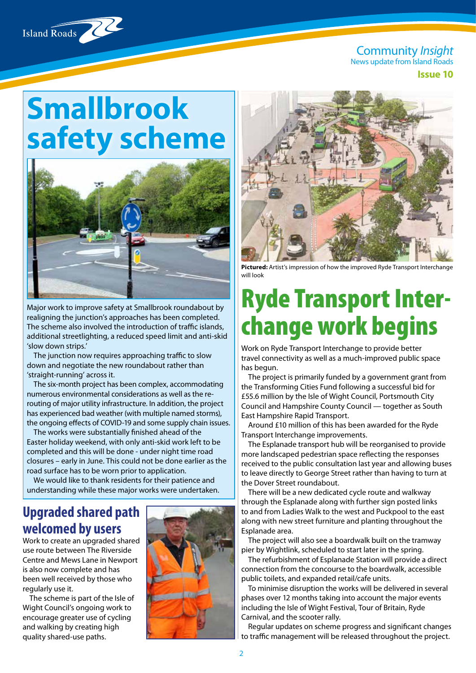

**Issue 10**

# **Smallbrook safety scheme**



Major work to improve safety at Smallbrook roundabout by realigning the junction's approaches has been completed. The scheme also involved the introduction of traffic islands, additional streetlighting, a reduced speed limit and anti-skid 'slow down strips.'

The junction now requires approaching traffic to slow down and negotiate the new roundabout rather than 'straight-running' across it.

The six-month project has been complex, accommodating numerous environmental considerations as well as the rerouting of major utility infrastructure. In addition, the project has experienced bad weather (with multiple named storms), the ongoing effects of COVID-19 and some supply chain issues.

The works were substantially finished ahead of the Easter holiday weekend, with only anti-skid work left to be completed and this will be done - under night time road closures – early in June. This could not be done earlier as the road surface has to be worn prior to application.

We would like to thank residents for their patience and understanding while these major works were undertaken.

#### **Upgraded shared path welcomed by users**

Work to create an upgraded shared use route between The Riverside Centre and Mews Lane in Newport is also now complete and has been well received by those who regularly use it.

The scheme is part of the Isle of Wight Council's ongoing work to encourage greater use of cycling and walking by creating high quality shared-use paths.





**Pictured:** Artist's impression of how the improved Ryde Transport Interchange will look

## Ryde Transport Interchange work begins

Work on Ryde Transport Interchange to provide better travel connectivity as well as a much-improved public space has begun.

The project is primarily funded by a government grant from the Transforming Cities Fund following a successful bid for £55.6 million by the Isle of Wight Council, Portsmouth City Council and Hampshire County Council — together as South East Hampshire Rapid Transport.

Around £10 million of this has been awarded for the Ryde Transport Interchange improvements.

The Esplanade transport hub will be reorganised to provide more landscaped pedestrian space reflecting the responses received to the public consultation last year and allowing buses to leave directly to George Street rather than having to turn at the Dover Street roundabout.

There will be a new dedicated cycle route and walkway through the Esplanade along with further sign posted links to and from Ladies Walk to the west and Puckpool to the east along with new street furniture and planting throughout the Esplanade area.

The project will also see a boardwalk built on the tramway pier by Wightlink, scheduled to start later in the spring.

The refurbishment of Esplanade Station will provide a direct connection from the concourse to the boardwalk, accessible public toilets, and expanded retail/cafe units.

To minimise disruption the works will be delivered in several phases over 12 months taking into account the major events including the Isle of Wight Festival, Tour of Britain, Ryde Carnival, and the scooter rally.

Regular updates on scheme progress and significant changes to traffic management will be released throughout the project.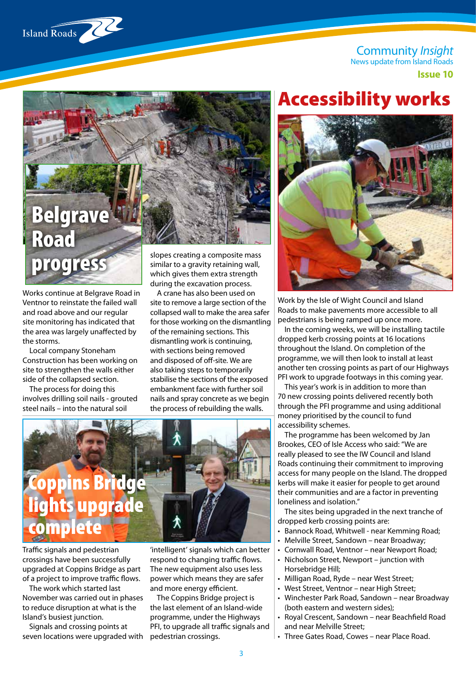**Issue 10**



# Belgrave Road progress

Works continue at Belgrave Road in Ventnor to reinstate the failed wall and road above and our regular site monitoring has indicated that the area was largely unaffected by the storms.

Local company Stoneham Construction has been working on site to strengthen the walls either side of the collapsed section.

The process for doing this involves drilling soil nails - grouted steel nails – into the natural soil

slopes creating a composite mass similar to a gravity retaining wall, which gives them extra strength during the excavation process.

A crane has also been used on site to remove a large section of the collapsed wall to make the area safer for those working on the dismantling of the remaining sections. This dismantling work is continuing, with sections being removed and disposed of off-site. We are also taking steps to temporarily stabilise the sections of the exposed embankment face with further soil nails and spray concrete as we begin the process of rebuilding the walls.



Traffic signals and pedestrian crossings have been successfully upgraded at Coppins Bridge as part of a project to improve traffic flows.

The work which started last November was carried out in phases to reduce disruption at what is the Island's busiest junction.

Signals and crossing points at seven locations were upgraded with

'intelligent' signals which can better respond to changing traffic flows. The new equipment also uses less power which means they are safer .<br>and more energy efficient.

The Coppins Bridge project is the last element of an Island-wide programme, under the Highways PFI, to upgrade all traffic signals and pedestrian crossings.

### Accessibility works



Work by the Isle of Wight Council and Island Roads to make pavements more accessible to all pedestrians is being ramped up once more.

In the coming weeks, we will be installing tactile dropped kerb crossing points at 16 locations throughout the Island. On completion of the programme, we will then look to install at least another ten crossing points as part of our Highways PFI work to upgrade footways in this coming year.

This year's work is in addition to more than 70 new crossing points delivered recently both through the PFI programme and using additional money prioritised by the council to fund accessibility schemes.

The programme has been welcomed by Jan Brookes, CEO of Isle Access who said: "We are really pleased to see the IW Council and Island Roads continuing their commitment to improving access for many people on the Island. The dropped kerbs will make it easier for people to get around their communities and are a factor in preventing loneliness and isolation."

The sites being upgraded in the next tranche of dropped kerb crossing points are:

- Bannock Road, Whitwell near Kemming Road;
- Melville Street, Sandown near Broadway;
- Cornwall Road, Ventnor near Newport Road;
- Nicholson Street, Newport junction with Horsebridge Hill;
- Milligan Road, Ryde near West Street;
- West Street, Ventnor near High Street;
- Winchester Park Road, Sandown near Broadway (both eastern and western sides);
- Royal Crescent, Sandown near Beachfield Road and near Melville Street;
- Three Gates Road, Cowes near Place Road.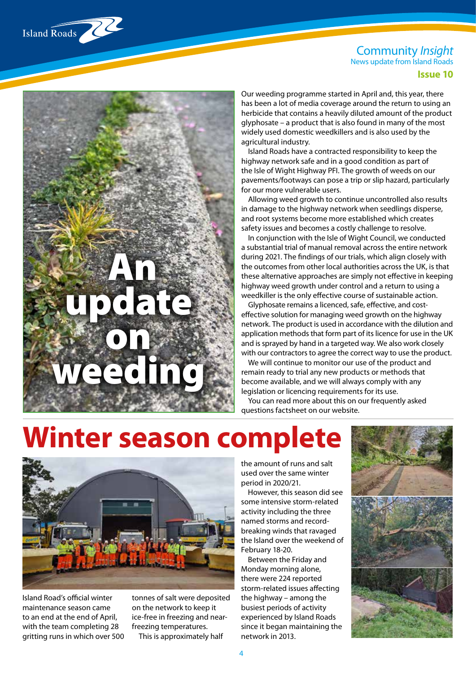Island Roads

**Issue 10**

Our weeding programme started in April and, this year, there has been a lot of media coverage around the return to using an herbicide that contains a heavily diluted amount of the product glyphosate – a product that is also found in many of the most widely used domestic weedkillers and is also used by the agricultural industry.

Island Roads have a contracted responsibility to keep the highway network safe and in a good condition as part of the Isle of Wight Highway PFI. The growth of weeds on our pavements/footways can pose a trip or slip hazard, particularly for our more vulnerable users.

Allowing weed growth to continue uncontrolled also results in damage to the highway network when seedlings disperse, and root systems become more established which creates safety issues and becomes a costly challenge to resolve.

In conjunction with the Isle of Wight Council, we conducted a substantial trial of manual removal across the entire network during 2021. The findings of our trials, which align closely with the outcomes from other local authorities across the UK, is that these alternative approaches are simply not effective in keeping highway weed growth under control and a return to using a weedkiller is the only effective course of sustainable action.

Glyphosate remains a licenced, safe, effective, and costeffective solution for managing weed growth on the highway network. The product is used in accordance with the dilution and application methods that form part of its licence for use in the UK and is sprayed by hand in a targeted way. We also work closely with our contractors to agree the correct way to use the product.

We will continue to monitor our use of the product and remain ready to trial any new products or methods that become available, and we will always comply with any legislation or licencing requirements for its use.

You can read more about this on our frequently asked questions factsheet on our website.

# **Winter season complete**



An

update

on<sup>3</sup>

weeding

Island Road's official winter maintenance season came to an end at the end of April, with the team completing 28 gritting runs in which over 500 tonnes of salt were deposited on the network to keep it ice-free in freezing and nearfreezing temperatures. This is approximately half

the amount of runs and salt used over the same winter period in 2020/21.

However, this season did see some intensive storm-related activity including the three named storms and recordbreaking winds that ravaged the Island over the weekend of February 18-20.

Between the Friday and Monday morning alone, there were 224 reported storm-related issues affecting the highway – among the busiest periods of activity experienced by Island Roads since it began maintaining the network in 2013.

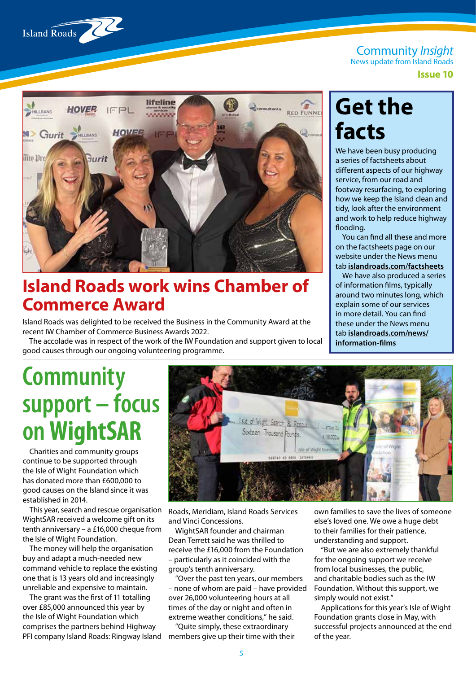

Community *Insight*

News update from Island Roads

**Issue 10**



### **Island Roads work wins Chamber of Commerce Award**

Island Roads was delighted to be received the Business in the Community Award at the recent IW Chamber of Commerce Business Awards 2022.

The accolade was in respect of the work of the IW Foundation and support given to local good causes through our ongoing volunteering programme.

### **Get the facts**

We have been busy producing a series of factsheets about different aspects of our highway service, from our road and footway resurfacing, to exploring how we keep the Island clean and tidy, look after the environment and work to help reduce highway flooding.

You can find all these and more on the factsheets page on our website under the News menu tab **islandroads.com/factsheets**

We have also produced a series of information films, typically around two minutes long, which explain some of our services in more detail. You can find these under the News menu tab **islandroads.com/news/ information-films**

## **Community support – focus on WightSAR**

Charities and community groups continue to be supported through the Isle of Wight Foundation which has donated more than £600,000 to good causes on the Island since it was established in 2014.

This year, search and rescue organisation WightSAR received a welcome gift on its tenth anniversary – a £16,000 cheque from the Isle of Wight Foundation.

The money will help the organisation buy and adapt a much-needed new command vehicle to replace the existing one that is 13 years old and increasingly unreliable and expensive to maintain.

The grant was the first of 11 totalling over £85,000 announced this year by the Isle of Wight Foundation which comprises the partners behind Highway PFI company Island Roads: Ringway Island



Roads, Meridiam, Island Roads Services and Vinci Concessions.

WightSAR founder and chairman Dean Terrett said he was thrilled to receive the £16,000 from the Foundation – particularly as it coincided with the group's tenth anniversary.

"Over the past ten years, our members – none of whom are paid – have provided over 26,000 volunteering hours at all times of the day or night and often in extreme weather conditions," he said.

"Quite simply, these extraordinary members give up their time with their own families to save the lives of someone else's loved one. We owe a huge debt to their families for their patience, understanding and support.

"But we are also extremely thankful for the ongoing support we receive from local businesses, the public, and charitable bodies such as the IW Foundation. Without this support, we simply would not exist."

Applications for this year's Isle of Wight Foundation grants close in May, with successful projects announced at the end of the year.